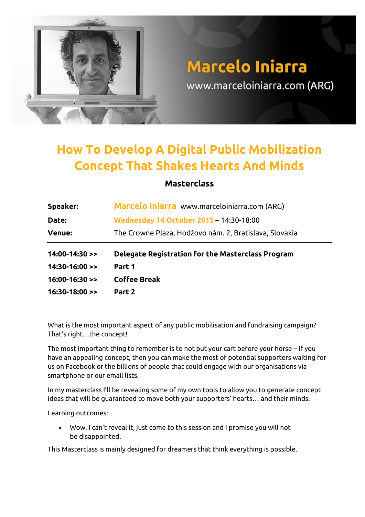

## **How To Develop A Digital Public Mobilization Concept That Shakes Hearts And Minds**

## **Masterclass**

| Speaker:             | Marcelo Iniarra www.marceloiniarra.com (ARG)           |  |
|----------------------|--------------------------------------------------------|--|
| Date:                | Wednesday 14 October 2015 - 14:30-18:00                |  |
| <b>Venue:</b>        | The Crowne Plaza, Hodžovo nám. 2, Bratislava, Slovakia |  |
|                      |                                                        |  |
| $14:00-14:30$ >>     | Delegate Registration for the Masterclass Program      |  |
| $14:30-16:00$ >>     | Part 1                                                 |  |
| $16:00-16:30 \geq 1$ | <b>Coffee Break</b>                                    |  |

What is the most important aspect of any public mobilisation and fundraising campaign? That's right…the concept!

The most important thing to remember is to not put your cart before your horse – if you have an appealing concept, then you can make the most of potential supporters waiting for us on Facebook or the billions of people that could engage with our organisations via smartphone or our email lists.

In my masterclass I'll be revealing some of my own tools to allow you to generate concept ideas that will be guaranteed to move both your supporters' hearts… and their minds.

Learning outcomes:

 Wow, I can't reveal it, just come to this session and I promise you will not be disappointed.

This Masterclass is mainly designed for dreamers that think everything is possible.